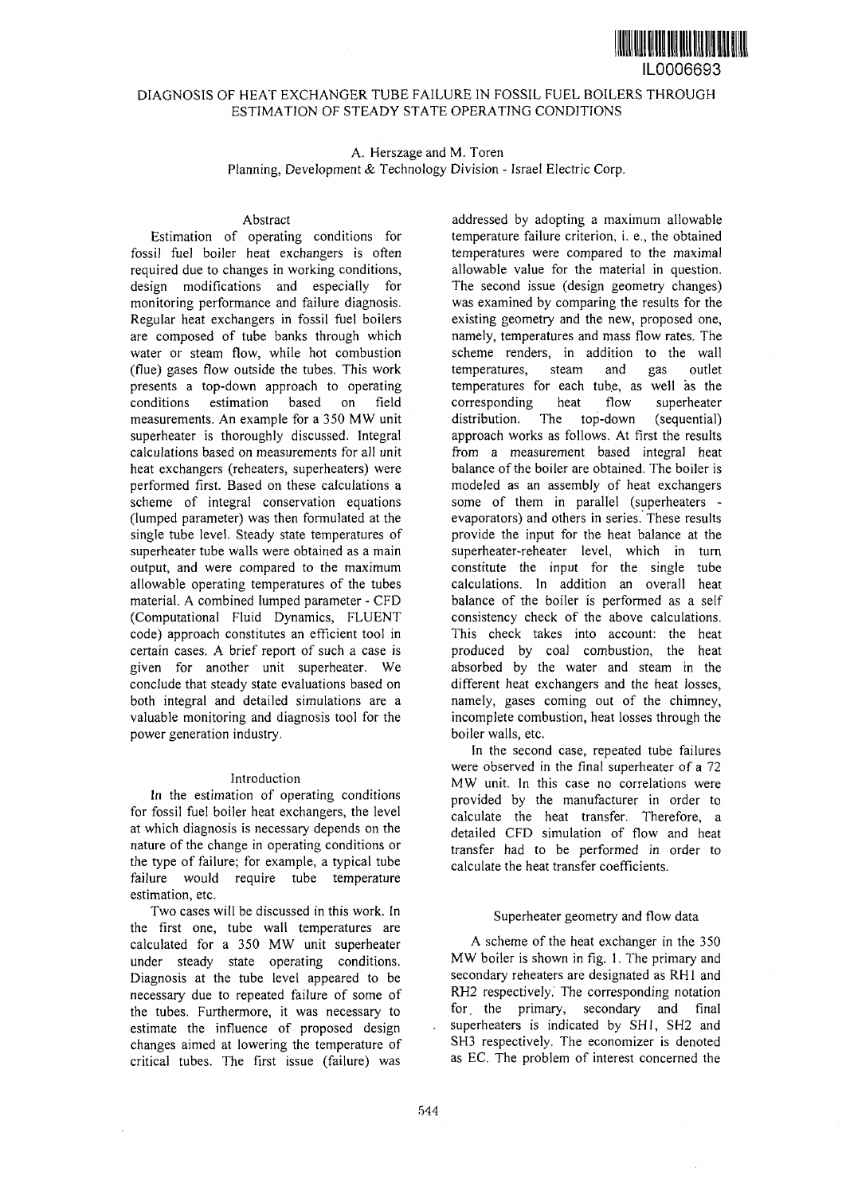

# DIAGNOSIS OF HEAT EXCHANGER TUBE FAILURE IN FOSSIL FUEL BOILERS THROUGH ESTIMATION OF STEADY STATE OPERATING CONDITIONS

A. Herszage and M. Toren

Planning, Development *&* Technology Division - Israel Electric Corp.

### Abstract

Estimation of operating conditions for fossil fuel boiler heat exchangers is often required due to changes in working conditions, design modifications and especially for monitoring performance and failure diagnosis. Regular heat exchangers in fossil fuel boilers are composed of tube banks through which water or steam flow, while hot combustion (flue) gases flow outside the tubes. This work presents a top-down approach to operating conditions estimation based on field measurements. An example for a 350 MW unit superheater is thoroughly discussed. Integral calculations based on measurements for all unit heat exchangers (reheaters, superheaters) were performed first. Based on these calculations a scheme of integral conservation equations (lumped parameter) was then formulated at the single tube level. Steady state temperatures of superheater tube walls were obtained as a main output, and were compared to the maximum allowable operating temperatures of the tubes material. A combined lumped parameter - CFD (Computational Fluid Dynamics, FLUENT code) approach constitutes an efficient tool in certain cases. A brief report of such a case is given for another unit superheater. We conclude that steady state evaluations based on both integral and detailed simulations are a valuable monitoring and diagnosis tool for the power generation industry.

# Introduction

In the estimation of operating conditions for fossil fuel boiler heat exchangers, the level at which diagnosis is necessary depends on the nature of the change in operating conditions or the type of failure; for example, a typical tube failure would require tube temperature estimation, etc.

Two cases will be discussed in this work. In the first one, tube wall temperatures are calculated for a 350 MW unit superheater under steady state operating conditions. Diagnosis at the tube level appeared to be necessary due to repeated failure of some of the tubes. Furthermore, it was necessary to estimate the influence of proposed design changes aimed at lowering the temperature of critical tubes. The first issue (failure) was

addressed by adopting a maximum allowable temperature failure criterion, i. e., the obtained temperatures were compared to the maximal allowable value for the material in question. The second issue (design geometry changes) was examined by comparing the results for the existing geometry and the new, proposed one, namely, temperatures and mass flow rates. The scheme renders, in addition to the wall temperatures, steam and gas outlet temperatures for each tube, as well as the corresponding heat flow superheater distribution. The top-down (sequential) approach works as follows. At first the results from a measurement based integral heat balance of the boiler are obtained. The boiler is modeled as an assembly of heat exchangers some of them in parallel (superheaters evaporators) and others in series. These results provide the input for the heat balance at the superheater-reheater level, which in turn constitute the input for the single tube calculations. In addition an overall heat balance of the boiler is performed as a self consistency check of the above calculations. This check takes into account: the heat produced by coal combustion, the heat absorbed by the water and steam in the different heat exchangers and the heat losses, namely, gases coming out of the chimney, incomplete combustion, heat losses through the boiler walls, etc.

In the second case, repeated tube failures were observed in the final superheater of a 72 MW unit. In this case no correlations were provided by the manufacturer in order to calculate the heat transfer. Therefore, a detailed CFD simulation of flow and heat transfer had to be performed in order to calculate the heat transfer coefficients.

### Superheater geometry and flow data

A scheme of the heat exchanger in the 350 MW boiler is shown in fig. 1. The primary and secondary reheaters are designated as RH1 and RH2 respectively. The corresponding notation for, the primary, secondary and final superheaters is indicated by SHI, SH2 and SH3 respectively. The economizer is denoted as EC. The problem of interest concerned the

 $\overline{a}$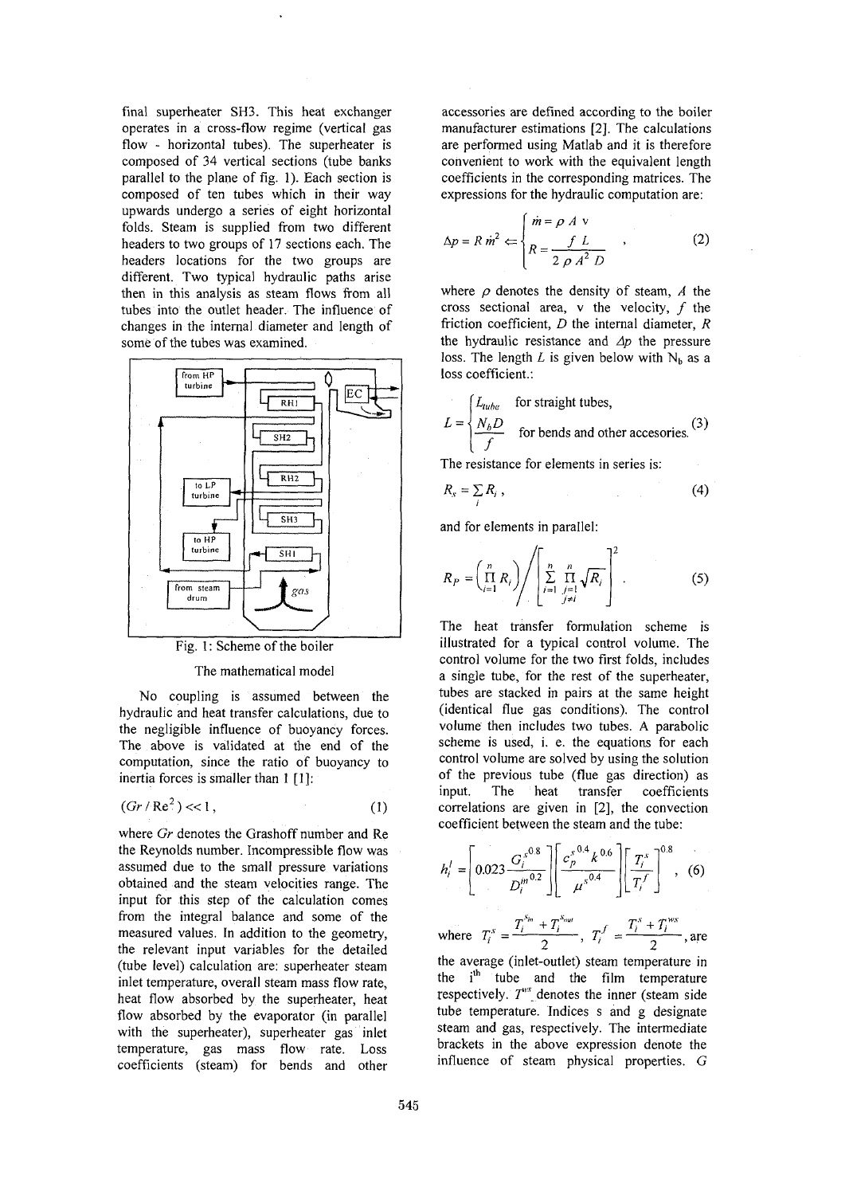final superheater SH3. This heat exchanger operates in a cross-flow regime (vertical gas flow - horizontal tubes). The superheater is composed of 34 vertical sections (tube banks parallel to the plane of fig. 1). Each section is composed of ten tubes which in their way upwards undergo a series of eight horizontal folds. Steam is supplied from two different headers to two groups of 17 sections each. The headers locations for the two groups are different. Two typical hydraulic paths arise then in this analysis as steam flows from all tubes into the outlet header. The influence of changes in the internal diameter and length of some of the tubes was examined.



Fig. 1: Scheme of the boiler

## The mathematical model

No coupling is assumed between the hydraulic and heat transfer calculations, due to the negligible influence of buoyancy forces. The above is validated at the end of the computation, since the ratio of buoyancy to inertia forces is smaller than 1 [1]:

$$
(Gr/Re2) << 1,
$$
 (1)

where *Gr* denotes the Grashoff number and Re the Reynolds number. Incompressible flow was assumed due to the small pressure variations obtained and the steam velocities range. The input for this step of the calculation comes from the integral balance and some of the measured values. In addition to the geometry, the relevant input variables for the detailed (tube level) calculation are: superheater steam inlet temperature, overall steam mass flow rate, heat flow absorbed by the superheater, heat flow absorbed by the evaporator (in parallel with the superheater), superheater gas inlet temperature, gas mass flow rate. Loss coefficients (steam) for bends and other

accessories are defined according to the boiler manufacturer estimations [2]. The calculations are performed using Matlab and it is therefore convenient to work with the equivalent length coefficients in the corresponding matrices. The expressions for the hydraulic computation are:

$$
\Delta p = R \dot{m}^2 \Leftarrow \begin{cases} \dot{m} = \rho \ A \ \vee \\ R = \frac{f \ L}{2 \ \rho \ A^2 \ D} \end{cases} \tag{2}
$$

where  $\rho$  denotes the density of steam,  $\Lambda$  the cross sectional area,  $v$  the velocity,  $f$  the friction coefficient,  $D$  the internal diameter,  $R$ the hydraulic resistance and *Ap* the pressure loss. The length L is given below with  $N<sub>b</sub>$  as a loss coefficient.:

$$
L = \begin{cases} L_{tube} & \text{for straight tubes,} \\ \frac{N_b D}{f} & \text{for bends and other accessible.} \end{cases}
$$
 (3)

The resistance for elements in series is:

$$
R_s = \sum_i R_i \tag{4}
$$

and for elements in parallel:

$$
R_P = \left(\prod_{i=1}^n R_i\right) \left/ \left[\sum_{i=1}^n \prod_{\substack{j=1 \ j \neq i}}^n \sqrt{R_i}\right]^2\right.
$$
 (5)

The heat transfer formulation scheme is illustrated for a typical control volume. The control volume for the two first folds, includes a single tube, for the rest of the superheater, tubes are stacked in pairs at the same height (identical flue gas conditions). The control volume then includes two tubes. A parabolic scheme is used, i. e. the equations for each control volume are solved by using the solution of the previous tube (flue gas direction) as input. The heat transfer coefficients correlations are given in [2], the convection coefficient between the steam and the tube:

$$
h'_{i} = \left[ 0.023 \frac{G_{i}^{s^{0.8}}}{D_{i}^{m^{0.2}}} \right] \left[ \frac{c_{p}^{s^{0.4}} k^{0.6}}{\mu^{s^{0.4}}} \right] \left[ \frac{T_{i}^{s}}{T_{i}^{f}} \right]^{0.8}, \quad (6)
$$

where  $T_i^s = \frac{r_i^s - r_i^s}{2}$ ,  $T_i^f = \frac{r_i^s - r_i^s}{2}$ , are

the average (inlet-outlet) steam temperature in the  $i<sup>th</sup>$  tube and the film temperature respectively.  $T^{''}$  denotes the inner (steam side tube temperature. Indices s and g designate steam and gas, respectively. The intermediate brackets in the above expression denote the influence of steam physical properties. *G*